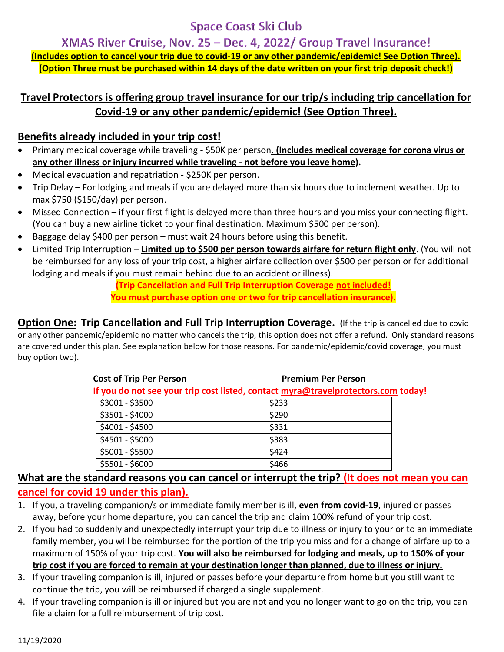# **Space Coast Ski Club**

XMAS River Cruise, Nov. 25 - Dec. 4, 2022/ Group Travel Insurance! **(Includes option to cancel your trip due to covid-19 or any other pandemic/epidemic! See Option Three). (Option Three must be purchased within 14 days of the date written on your first trip deposit check!)**

### **Travel Protectors is offering group travel insurance for our trip/s including trip cancellation for Covid-19 or any other pandemic/epidemic! (See Option Three).**

#### **Benefits already included in your trip cost!**

- Primary medical coverage while traveling \$50K per person. **(Includes medical coverage for corona virus or any other illness or injury incurred while traveling - not before you leave home).**
- Medical evacuation and repatriation \$250K per person.
- Trip Delay For lodging and meals if you are delayed more than six hours due to inclement weather. Up to max \$750 (\$150/day) per person.
- Missed Connection if your first flight is delayed more than three hours and you miss your connecting flight. (You can buy a new airline ticket to your final destination. Maximum \$500 per person).
- Baggage delay \$400 per person must wait 24 hours before using this benefit.
- Limited Trip Interruption **Limited up to \$500 per person towards airfare for return flight only**. (You will not be reimbursed for any loss of your trip cost, a higher airfare collection over \$500 per person or for additional lodging and meals if you must remain behind due to an accident or illness).

**(Trip Cancellation and Full Trip Interruption Coverage not included! You must purchase option one or two for trip cancellation insurance).** 

**Option One: Trip Cancellation and Full Trip Interruption Coverage. (If the trip is cancelled due to covid** or any other pandemic/epidemic no matter who cancels the trip, this option does not offer a refund. Only standard reasons are covered under this plan. See explanation below for those reasons. For pandemic/epidemic/covid coverage, you must buy option two).

| <b>Cost of Trip Per Person</b>                                                    | <b>Premium Per Person</b> |  |
|-----------------------------------------------------------------------------------|---------------------------|--|
| If you do not see your trip cost listed, contact myra@travelprotectors.com today! |                           |  |
| \$3001 - \$3500                                                                   | \$233                     |  |
| \$3501 - \$4000                                                                   | \$290                     |  |
| \$4001 - \$4500                                                                   | \$331                     |  |
| \$4501 - \$5000                                                                   | \$383                     |  |
| \$5001 - \$5500                                                                   | \$424                     |  |
| \$5501 - \$6000                                                                   | \$466                     |  |

#### **What are the standard reasons you can cancel or interrupt the trip? (It does not mean you can cancel for covid 19 under this plan).**

- 1. If you, a traveling companion/s or immediate family member is ill, **even from covid-19**, injured or passes away, before your home departure, you can cancel the trip and claim 100% refund of your trip cost.
- 2. If you had to suddenly and unexpectedly interrupt your trip due to illness or injury to your or to an immediate family member, you will be reimbursed for the portion of the trip you miss and for a change of airfare up to a maximum of 150% of your trip cost. **You will also be reimbursed for lodging and meals, up to 150% of your trip cost if you are forced to remain at your destination longer than planned, due to illness or injury.**
- 3. If your traveling companion is ill, injured or passes before your departure from home but you still want to continue the trip, you will be reimbursed if charged a single supplement.
- 4. If your traveling companion is ill or injured but you are not and you no longer want to go on the trip, you can file a claim for a full reimbursement of trip cost.